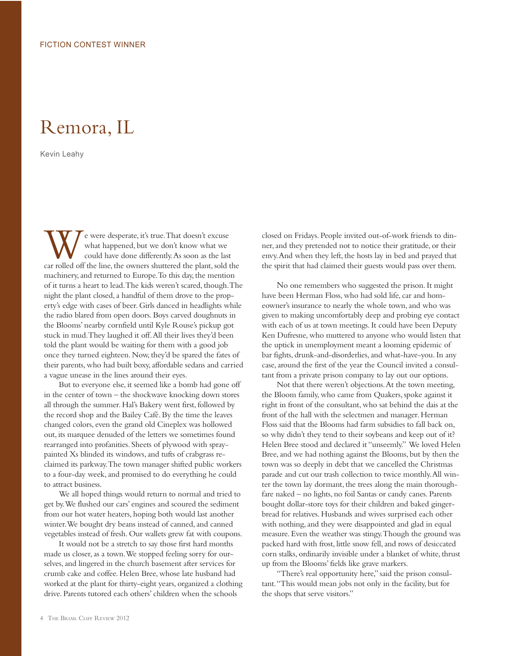## Remora, IL

Kevin Leahy

e were desperate, it's true. That doesn't excuse what happened, but we don't know what we could have done differently. As soon as the last car rolled off the line, the owners shuttered the plant, sold the machinery, and returned to Europe. To this day, the mention of it turns a heart to lead. The kids weren't scared, though. The night the plant closed, a handful of them drove to the property's edge with cases of beer. Girls danced in headlights while the radio blared from open doors. Boys carved doughnuts in the Blooms' nearby cornfield until Kyle Rouse's pickup got stuck in mud. They laughed it off. All their lives they'd been told the plant would be waiting for them with a good job once they turned eighteen. Now, they'd be spared the fates of their parents, who had built boxy, affordable sedans and carried a vague unease in the lines around their eyes.

But to everyone else, it seemed like a bomb had gone off in the center of town – the shockwave knocking down stores all through the summer. Hal's Bakery went first, followed by the record shop and the Bailey Café. By the time the leaves changed colors, even the grand old Cineplex was hollowed out, its marquee denuded of the letters we sometimes found rearranged into profanities. Sheets of plywood with spraypainted Xs blinded its windows, and tufts of crabgrass reclaimed its parkway. The town manager shifted public workers to a four-day week, and promised to do everything he could to attract business.

We all hoped things would return to normal and tried to get by. We flushed our cars' engines and scoured the sediment from our hot water heaters, hoping both would last another winter. We bought dry beans instead of canned, and canned vegetables instead of fresh. Our wallets grew fat with coupons.

It would not be a stretch to say those first hard months made us closer, as a town. We stopped feeling sorry for ourselves, and lingered in the church basement after services for crumb cake and coffee. Helen Bree, whose late husband had worked at the plant for thirty-eight years, organized a clothing drive. Parents tutored each others' children when the schools

closed on Fridays. People invited out-of-work friends to dinner, and they pretended not to notice their gratitude, or their envy. And when they left, the hosts lay in bed and prayed that the spirit that had claimed their guests would pass over them.

No one remembers who suggested the prison. It might have been Herman Floss, who had sold life, car and homeowner's insurance to nearly the whole town, and who was given to making uncomfortably deep and probing eye contact with each of us at town meetings. It could have been Deputy Ken Dufresne, who muttered to anyone who would listen that the uptick in unemployment meant a looming epidemic of bar fights, drunk-and-disorderlies, and what-have-you. In any case, around the first of the year the Council invited a consultant from a private prison company to lay out our options.

Not that there weren't objections. At the town meeting, the Bloom family, who came from Quakers, spoke against it right in front of the consultant, who sat behind the dais at the front of the hall with the selectmen and manager. Herman Floss said that the Blooms had farm subsidies to fall back on, so why didn't they tend to their soybeans and keep out of it? Helen Bree stood and declared it "unseemly." We loved Helen Bree, and we had nothing against the Blooms, but by then the town was so deeply in debt that we cancelled the Christmas parade and cut our trash collection to twice monthly. All winter the town lay dormant, the trees along the main thoroughfare naked – no lights, no foil Santas or candy canes. Parents bought dollar-store toys for their children and baked gingerbread for relatives. Husbands and wives surprised each other with nothing, and they were disappointed and glad in equal measure. Even the weather was stingy. Though the ground was packed hard with frost, little snow fell, and rows of desiccated corn stalks, ordinarily invisible under a blanket of white, thrust up from the Blooms' fields like grave markers.

"There's real opportunity here," said the prison consultant. "This would mean jobs not only in the facility, but for the shops that serve visitors."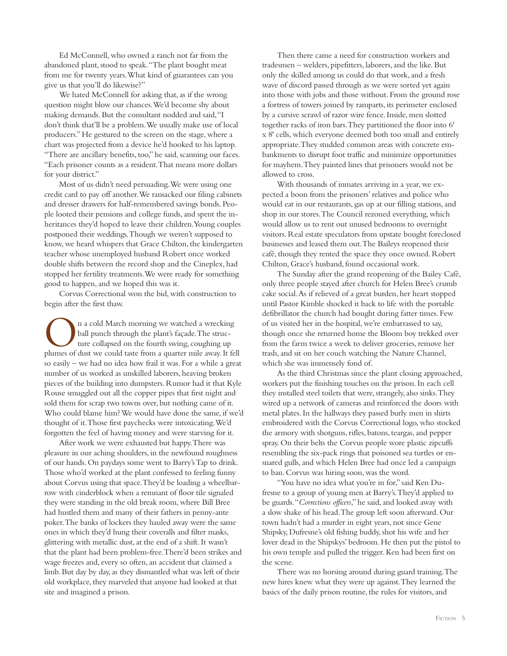Ed McConnell, who owned a ranch not far from the abandoned plant, stood to speak. "The plant bought meat from me for twenty years. What kind of guarantees can you give us that you'll do likewise?"

We hated McConnell for asking that, as if the wrong question might blow our chances. We'd become shy about making demands. But the consultant nodded and said, "I don't think that'll be a problem. We usually make use of local producers." He gestured to the screen on the stage, where a chart was projected from a device he'd hooked to his laptop. "There are ancillary benefits, too," he said, scanning our faces. "Each prisoner counts as a resident. That means more dollars for your district."

Most of us didn't need persuading. We were using one credit card to pay off another. We ransacked our filing cabinets and dresser drawers for half-remembered savings bonds. People looted their pensions and college funds, and spent the inheritances they'd hoped to leave their children. Young couples postponed their weddings. Though we weren't supposed to know, we heard whispers that Grace Chilton, the kindergarten teacher whose unemployed husband Robert once worked double shifts between the record shop and the Cineplex, had stopped her fertility treatments. We were ready for something good to happen, and we hoped this was it.

Corvus Correctional won the bid, with construction to begin after the first thaw.

In a cold March morning we watched a wrecking<br>ball punch through the plant's façade. The struc-<br>ture collapsed on the fourth swing, coughing up<br>plumes of dust we could taste from a guarter mile away It for ball punch through the plant's façade. The structure collapsed on the fourth swing, coughing up plumes of dust we could taste from a quarter mile away. It fell so easily – we had no idea how frail it was. For a while a great number of us worked as unskilled laborers, heaving broken pieces of the building into dumpsters. Rumor had it that Kyle Rouse smuggled out all the copper pipes that first night and sold them for scrap two towns over, but nothing came of it. Who could blame him? We would have done the same, if we'd thought of it. Those first paychecks were intoxicating. We'd forgotten the feel of having money and were starving for it.

After work we were exhausted but happy. There was pleasure in our aching shoulders, in the newfound roughness of our hands. On paydays some went to Barry's Tap to drink. Those who'd worked at the plant confessed to feeling funny about Corvus using that space. They'd be loading a wheelbarrow with cinderblock when a remnant of floor tile signaled they were standing in the old break room, where Bill Bree had hustled them and many of their fathers in penny-ante poker. The banks of lockers they hauled away were the same ones in which they'd hung their coveralls and filter masks, glittering with metallic dust, at the end of a shift. It wasn't that the plant had been problem-free. There'd been strikes and wage freezes and, every so often, an accident that claimed a limb. But day by day, as they dismantled what was left of their old workplace, they marveled that anyone had looked at that site and imagined a prison.

Then there came a need for construction workers and tradesmen – welders, pipefitters, laborers, and the like. But only the skilled among us could do that work, and a fresh wave of discord passed through as we were sorted yet again into those with jobs and those without. From the ground rose a fortress of towers joined by ramparts, its perimeter enclosed by a cursive scrawl of razor wire fence. Inside, men slotted together racks of iron bars. They partitioned the floor into 6' x 8' cells, which everyone deemed both too small and entirely appropriate. They studded common areas with concrete embankments to disrupt foot traffic and minimize opportunities for mayhem. They painted lines that prisoners would not be allowed to cross.

With thousands of inmates arriving in a year, we expected a boon from the prisoners' relatives and police who would eat in our restaurants, gas up at our filling stations, and shop in our stores. The Council rezoned everything, which would allow us to rent out unused bedrooms to overnight visitors. Real estate speculators from upstate bought foreclosed businesses and leased them out. The Baileys reopened their café, though they rented the space they once owned. Robert Chilton, Grace's husband, found occasional work.

The Sunday after the grand reopening of the Bailey Café, only three people stayed after church for Helen Bree's crumb cake social. As if relieved of a great burden, her heart stopped until Pastor Kimble shocked it back to life with the portable defibrillator the church had bought during fatter times. Few of us visited her in the hospital, we're embarrassed to say, though once she returned home the Bloom boy trekked over from the farm twice a week to deliver groceries, remove her trash, and sit on her couch watching the Nature Channel, which she was immensely fond of.

As the third Christmas since the plant closing approached, workers put the finishing touches on the prison. In each cell they installed steel toilets that were, strangely, also sinks. They wired up a network of cameras and reinforced the doors with metal plates. In the hallways they passed burly men in shirts embroidered with the Corvus Correctional logo, who stocked the armory with shotguns, rifles, batons, teargas, and pepper spray. On their belts the Corvus people wore plastic zipcuffs resembling the six-pack rings that poisoned sea turtles or ensnared gulls, and which Helen Bree had once led a campaign to ban. Corvus was hiring soon, was the word.

"You have no idea what you're in for," said Ken Dufresne to a group of young men at Barry's. They'd applied to be guards. "*Corrections officers*," he said, and looked away with a slow shake of his head. The group left soon afterward. Our town hadn't had a murder in eight years, not since Gene Shipsky, Dufresne's old fishing buddy, shot his wife and her lover dead in the Shipskys' bedroom. He then put the pistol to his own temple and pulled the trigger. Ken had been first on the scene.

There was no horsing around during guard training. The new hires knew what they were up against. They learned the basics of the daily prison routine, the rules for visitors, and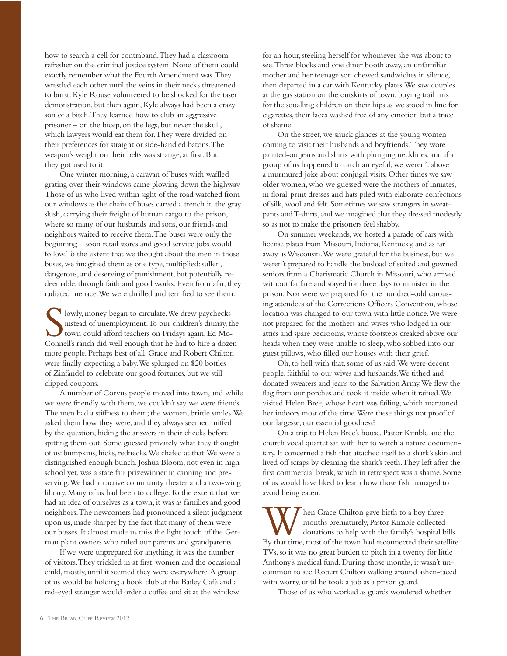how to search a cell for contraband. They had a classroom refresher on the criminal justice system. None of them could exactly remember what the Fourth Amendment was. They wrestled each other until the veins in their necks threatened to burst. Kyle Rouse volunteered to be shocked for the taser demonstration, but then again, Kyle always had been a crazy son of a bitch. They learned how to club an aggressive prisoner – on the bicep, on the legs, but never the skull, which lawyers would eat them for. They were divided on their preferences for straight or side-handled batons. The weapon's weight on their belts was strange, at first. But they got used to it.

One winter morning, a caravan of buses with waffled grating over their windows came plowing down the highway. Those of us who lived within sight of the road watched from our windows as the chain of buses carved a trench in the gray slush, carrying their freight of human cargo to the prison, where so many of our husbands and sons, our friends and neighbors waited to receive them. The buses were only the beginning – soon retail stores and good service jobs would follow. To the extent that we thought about the men in those buses, we imagined them as one type, multiplied: sullen, dangerous, and deserving of punishment, but potentially redeemable, through faith and good works. Even from afar, they radiated menace. We were thrilled and terrified to see them.

Slowly, money began to circulate. We drew paychecks<br>instead of unemployment. To our children's dismay, the<br>town could afford teachers on Fridays again. Ed Mcinstead of unemployment. To our children's dismay, the town could afford teachers on Fridays again. Ed Mc-Connell's ranch did well enough that he had to hire a dozen more people. Perhaps best of all, Grace and Robert Chilton were finally expecting a baby. We splurged on \$20 bottles of Zinfandel to celebrate our good fortunes, but we still clipped coupons.

A number of Corvus people moved into town, and while we were friendly with them, we couldn't say we were friends. The men had a stiffness to them; the women, brittle smiles. We asked them how they were, and they always seemed miffed by the question, hiding the answers in their cheeks before spitting them out. Some guessed privately what they thought of us: bumpkins, hicks, rednecks. We chafed at that. We were a distinguished enough bunch. Joshua Bloom, not even in high school yet, was a state fair prizewinner in canning and preserving. We had an active community theater and a two-wing library. Many of us had been to college. To the extent that we had an idea of ourselves as a town, it was as families and good neighbors. The newcomers had pronounced a silent judgment upon us, made sharper by the fact that many of them were our bosses. It almost made us miss the light touch of the German plant owners who ruled our parents and grandparents.

If we were unprepared for anything, it was the number of visitors. They trickled in at first, women and the occasional child, mostly, until it seemed they were everywhere. A group of us would be holding a book club at the Bailey Café and a red-eyed stranger would order a coffee and sit at the window

for an hour, steeling herself for whomever she was about to see. Three blocks and one diner booth away, an unfamiliar mother and her teenage son chewed sandwiches in silence, then departed in a car with Kentucky plates. We saw couples at the gas station on the outskirts of town, buying trail mix for the squalling children on their hips as we stood in line for cigarettes, their faces washed free of any emotion but a trace of shame.

On the street, we snuck glances at the young women coming to visit their husbands and boyfriends. They wore painted-on jeans and shirts with plunging necklines, and if a group of us happened to catch an eyeful, we weren't above a murmured joke about conjugal visits. Other times we saw older women, who we guessed were the mothers of inmates, in floral-print dresses and hats piled with elaborate confections of silk, wool and felt. Sometimes we saw strangers in sweatpants and T-shirts, and we imagined that they dressed modestly so as not to make the prisoners feel shabby.

On summer weekends, we hosted a parade of cars with license plates from Missouri, Indiana, Kentucky, and as far away as Wisconsin. We were grateful for the business, but we weren't prepared to handle the busload of suited and gowned seniors from a Charismatic Church in Missouri, who arrived without fanfare and stayed for three days to minister in the prison. Nor were we prepared for the hundred-odd carousing attendees of the Corrections Officers Convention, whose location was changed to our town with little notice. We were not prepared for the mothers and wives who lodged in our attics and spare bedrooms, whose footsteps creaked above our heads when they were unable to sleep, who sobbed into our guest pillows, who filled our houses with their grief.

Oh, to hell with that, some of us said. We were decent people, faithful to our wives and husbands. We tithed and donated sweaters and jeans to the Salvation Army. We flew the flag from our porches and took it inside when it rained. We visited Helen Bree, whose heart was failing, which marooned her indoors most of the time. Were these things not proof of our largesse, our essential goodness?

On a trip to Helen Bree's house, Pastor Kimble and the church vocal quartet sat with her to watch a nature documentary. It concerned a fish that attached itself to a shark's skin and lived off scraps by cleaning the shark's teeth. They left after the first commercial break, which in retrospect was a shame. Some of us would have liked to learn how those fish managed to avoid being eaten.

When Grace Chilton gave birth to a boy three<br>
months prematurely, Pastor Kimble collected<br>
donations to help with the family's hospital bills.<br>
By that time most of the town had reconnected their satellite months prematurely, Pastor Kimble collected By that time, most of the town had reconnected their satellite TVs, so it was no great burden to pitch in a twenty for little Anthony's medical fund. During those months, it wasn't uncommon to see Robert Chilton walking around ashen-faced with worry, until he took a job as a prison guard.

Those of us who worked as guards wondered whether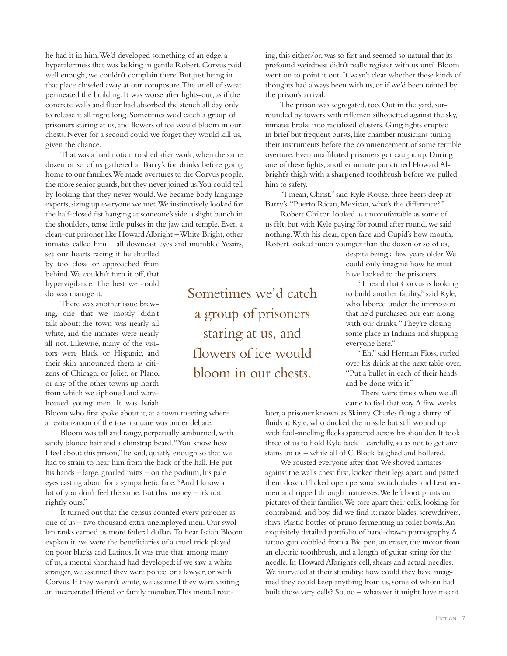he had it in him. We'd developed something of an edge, a hyperalertness that was lacking in gentle Robert. Corvus paid well enough, we couldn't complain there. But just being in that place chiseled away at our composure. The smell of sweat permeated the building. It was worse after lights-out, as if the concrete walls and floor had absorbed the stench all day only to release it all night long. Sometimes we'd catch a group of prisoners staring at us, and flowers of ice would bloom in our chests. Never for a second could we forget they would kill us, given the chance.

That was a hard notion to shed after work, when the same dozen or so of us gathered at Barry's for drinks before going home to our families. We made overtures to the Corvus people, the more senior guards, but they never joined us. You could tell by looking that they never would. We became body language experts, sizing up everyone we met. We instinctively looked for the half-closed fist hanging at someone's side, a slight bunch in the shoulders, tense little pulses in the jaw and temple. Even a clean-cut prisoner like Howard Albright – White Bright, other inmates called him – all downcast eyes and mumbled Yessirs,

set our hearts racing if he shuffled by too close or approached from behind. We couldn't turn it off, that hypervigilance. The best we could do was manage it.

There was another issue brewing, one that we mostly didn't talk about: the town was nearly all white, and the inmates were nearly all not. Likewise, many of the visitors were black or Hispanic, and their skin announced them as citizens of Chicago, or Joliet, or Plano, or any of the other towns up north from which we siphoned and warehoused young men. It was Isaiah

Bloom who first spoke about it, at a town meeting where a revitalization of the town square was under debate.

Bloom was tall and rangy, perpetually sunburned, with sandy blonde hair and a chinstrap beard. "You know how I feel about this prison," he said, quietly enough so that we had to strain to hear him from the back of the hall. He put his hands – large, gnarled mitts – on the podium, his pale eyes casting about for a sympathetic face. "And I know a lot of you don't feel the same. But this money – it's not rightly ours."

It turned out that the census counted every prisoner as one of us – two thousand extra unemployed men. Our swollen ranks earned us more federal dollars. To hear Isaiah Bloom explain it, we were the beneficiaries of a cruel trick played on poor blacks and Latinos. It was true that, among many of us, a mental shorthand had developed: if we saw a white stranger, we assumed they were police, or a lawyer, or with Corvus. If they weren't white, we assumed they were visiting an incarcerated friend or family member. This mental rout-

Sometimes we'd catch a group of prisoners staring at us, and flowers of ice would bloom in our chests.

ing, this either/or, was so fast and seemed so natural that its profound weirdness didn't really register with us until Bloom went on to point it out. It wasn't clear whether these kinds of thoughts had always been with us, or if we'd been tainted by the prison's arrival.

The prison was segregated, too. Out in the yard, surrounded by towers with riflemen silhouetted against the sky, inmates broke into racialized clusters. Gang fights erupted in brief but frequent bursts, like chamber musicians tuning their instruments before the commencement of some terrible overture. Even unaffiliated prisoners got caught up. During one of these fights, another inmate punctured Howard Albright's thigh with a sharpened toothbrush before we pulled him to safety.

"I mean, Christ," said Kyle Rouse, three beers deep at Barry's. "Puerto Rican, Mexican, what's the difference?"

Robert Chilton looked as uncomfortable as some of us felt, but with Kyle paying for round after round, we said nothing. With his clear, open face and Cupid's bow mouth, Robert looked much younger than the dozen or so of us,

> despite being a few years older. We could only imagine how he must have looked to the prisoners.

 "I heard that Corvus is looking to build another facility," said Kyle, who labored under the impression that he'd purchased our ears along with our drinks. "They're closing some place in Indiana and shipping everyone here."

 "Eh," said Herman Floss, curled over his drink at the next table over, "Put a bullet in each of their heads and be done with it."

 There were times when we all came to feel that way. A few weeks

later, a prisoner known as Skinny Charles flung a slurry of fluids at Kyle, who ducked the missile but still wound up with foul-smelling flecks spattered across his shoulder. It took three of us to hold Kyle back – carefully, so as not to get any stains on us – while all of C Block laughed and hollered.

We rousted everyone after that. We shoved inmates against the walls chest first, kicked their legs apart, and patted them down. Flicked open personal switchblades and Leathermen and ripped through mattresses. We left boot prints on pictures of their families. We tore apart their cells, looking for contraband, and boy, did we find it: razor blades, screwdrivers, shivs. Plastic bottles of pruno fermenting in toilet bowls. An exquisitely detailed portfolio of hand-drawn pornography. A tattoo gun cobbled from a Bic pen, an eraser, the motor from an electric toothbrush, and a length of guitar string for the needle. In Howard Albright's cell, shears and actual needles. We marveled at their stupidity: how could they have imagined they could keep anything from us, some of whom had built those very cells? So, no – whatever it might have meant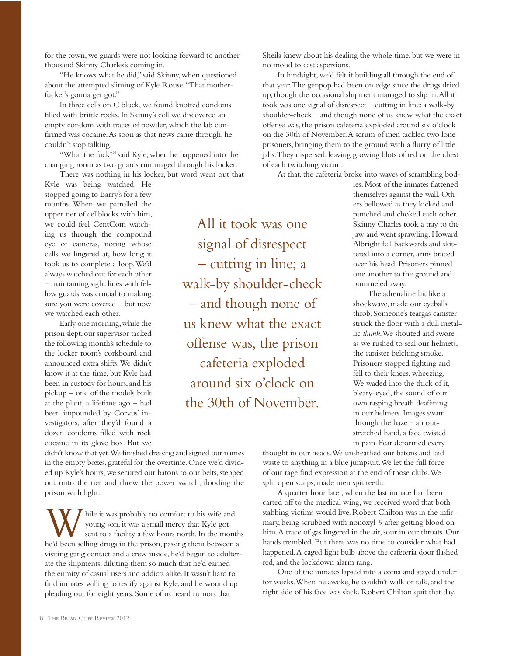for the town, we guards were not looking forward to another thousand Skinny Charles's coming in.

"He knows what he did," said Skinny, when questioned about the attempted sliming of Kyle Rouse. "That motherfucker's gonna get got."

In three cells on C block, we found knotted condoms filled with brittle rocks. In Skinny's cell we discovered an empty condom with traces of powder, which the lab confirmed was cocaine. As soon as that news came through, he couldn't stop talking.

"What the fuck?" said Kyle, when he happened into the changing room as two guards rummaged through his locker.

There was nothing in his locker, but word went out that Kyle was being watched. He

stopped going to Barry's for a few months. When we patrolled the upper tier of cellblocks with him, we could feel CentCom watching us through the compound eye of cameras, noting whose cells we lingered at, how long it took us to complete a loop. We'd always watched out for each other – maintaining sight lines with fellow guards was crucial to making sure you were covered – but now we watched each other.

Early one morning, while the prison slept, our supervisor tacked the following month's schedule to the locker room's corkboard and announced extra shifts. We didn't know it at the time, but Kyle had been in custody for hours, and his pickup – one of the models built at the plant, a lifetime ago – had been impounded by Corvus' investigators, after they'd found a dozen condoms filled with rock cocaine in its glove box. But we

All it took was one signal of disrespect – cutting in line; a walk-by shoulder-check – and though none of us knew what the exact offense was, the prison cafeteria exploded around six o'clock on the 30th of November.

Sheila knew about his dealing the whole time, but we were in no mood to cast aspersions.

In hindsight, we'd felt it building all through the end of that year. The genpop had been on edge since the drugs dried up, though the occasional shipment managed to slip in. All it took was one signal of disrespect – cutting in line; a walk-by shoulder-check – and though none of us knew what the exact offense was, the prison cafeteria exploded around six o'clock on the 30th of November. A scrum of men tackled two lone prisoners, bringing them to the ground with a flurry of little jabs. They dispersed, leaving growing blots of red on the chest of each twitching victim.

At that, the cafeteria broke into waves of scrambling bod-

ies. Most of the inmates flattened themselves against the wall. Others bellowed as they kicked and punched and choked each other. Skinny Charles took a tray to the jaw and went sprawling. Howard Albright fell backwards and skittered into a corner, arms braced over his head. Prisoners pinned one another to the ground and pummeled away.

 The adrenaline hit like a shockwave, made our eyeballs throb. Someone's teargas canister struck the floor with a dull metallic *thunk*. We shouted and swore as we rushed to seal our helmets, the canister belching smoke. Prisoners stopped fighting and fell to their knees, wheezing. We waded into the thick of it. bleary-eyed, the sound of our own rasping breath deafening in our helmets. Images swam through the haze – an outstretched hand, a face twisted in pain. Fear deformed every

didn't know that yet. We finished dressing and signed our names in the empty boxes, grateful for the overtime. Once we'd divided up Kyle's hours, we secured our batons to our belts, stepped out onto the tier and threw the power switch, flooding the prison with light.

hile it was probably no comfort to his wife and young son, it was a small mercy that Kyle got sent to a facility a few hours north. In the months he'd been selling drugs in the prison, passing them between a visiting gang contact and a crew inside, he'd begun to adulterate the shipments, diluting them so much that he'd earned the enmity of casual users and addicts alike. It wasn't hard to find inmates willing to testify against Kyle, and he wound up pleading out for eight years. Some of us heard rumors that

thought in our heads. We unsheathed our batons and laid waste to anything in a blue jumpsuit. We let the full force of our rage find expression at the end of those clubs. We split open scalps, made men spit teeth.

A quarter hour later, when the last inmate had been carted off to the medical wing, we received word that both stabbing victims would live. Robert Chilton was in the infirmary, being scrubbed with nonoxyl-9 after getting blood on him. A trace of gas lingered in the air, sour in our throats. Our hands trembled. But there was no time to consider what had happened. A caged light bulb above the cafeteria door flashed red, and the lockdown alarm rang.

One of the inmates lapsed into a coma and stayed under for weeks. When he awoke, he couldn't walk or talk, and the right side of his face was slack. Robert Chilton quit that day.